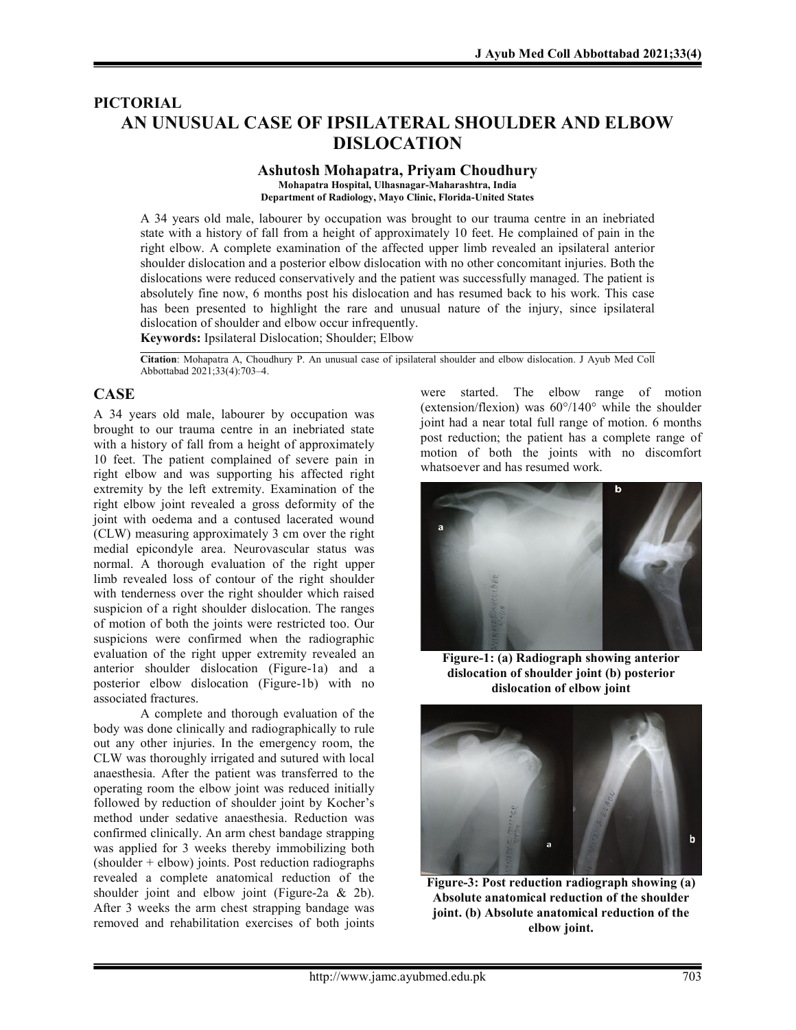# PICTORIAL AN UNUSUAL CASE OF IPSILATERAL SHOULDER AND ELBOW DISLOCATION

#### Ashutosh Mohapatra, Priyam Choudhury Mohapatra Hospital, Ulhasnagar-Maharashtra, India Department of Radiology, Mayo Clinic, Florida-United States

A 34 years old male, labourer by occupation was brought to our trauma centre in an inebriated state with a history of fall from a height of approximately 10 feet. He complained of pain in the right elbow. A complete examination of the affected upper limb revealed an ipsilateral anterior shoulder dislocation and a posterior elbow dislocation with no other concomitant injuries. Both the dislocations were reduced conservatively and the patient was successfully managed. The patient is absolutely fine now, 6 months post his dislocation and has resumed back to his work. This case has been presented to highlight the rare and unusual nature of the injury, since ipsilateral dislocation of shoulder and elbow occur infrequently.

Keywords: Ipsilateral Dislocation; Shoulder; Elbow

Citation: Mohapatra A, Choudhury P. An unusual case of ipsilateral shoulder and elbow dislocation. J Ayub Med Coll Abbottabad 2021;33(4):703–4.

## **CASE**

A 34 years old male, labourer by occupation was brought to our trauma centre in an inebriated state with a history of fall from a height of approximately 10 feet. The patient complained of severe pain in right elbow and was supporting his affected right extremity by the left extremity. Examination of the right elbow joint revealed a gross deformity of the joint with oedema and a contused lacerated wound (CLW) measuring approximately 3 cm over the right medial epicondyle area. Neurovascular status was normal. A thorough evaluation of the right upper limb revealed loss of contour of the right shoulder with tenderness over the right shoulder which raised suspicion of a right shoulder dislocation. The ranges of motion of both the joints were restricted too. Our suspicions were confirmed when the radiographic evaluation of the right upper extremity revealed an anterior shoulder dislocation (Figure-1a) and a posterior elbow dislocation (Figure-1b) with no associated fractures.

A complete and thorough evaluation of the body was done clinically and radiographically to rule out any other injuries. In the emergency room, the CLW was thoroughly irrigated and sutured with local anaesthesia. After the patient was transferred to the operating room the elbow joint was reduced initially followed by reduction of shoulder joint by Kocher's method under sedative anaesthesia. Reduction was confirmed clinically. An arm chest bandage strapping was applied for 3 weeks thereby immobilizing both  $(s$ houlder + elbow) joints. Post reduction radiographs revealed a complete anatomical reduction of the shoulder joint and elbow joint (Figure-2a & 2b). After 3 weeks the arm chest strapping bandage was removed and rehabilitation exercises of both joints were started. The elbow range of motion (extension/flexion) was 60°/140° while the shoulder joint had a near total full range of motion. 6 months post reduction; the patient has a complete range of motion of both the joints with no discomfort whatsoever and has resumed work.



Figure-1: (a) Radiograph showing anterior dislocation of shoulder joint (b) posterior dislocation of elbow joint



Figure-3: Post reduction radiograph showing (a) Absolute anatomical reduction of the shoulder joint. (b) Absolute anatomical reduction of the elbow joint.